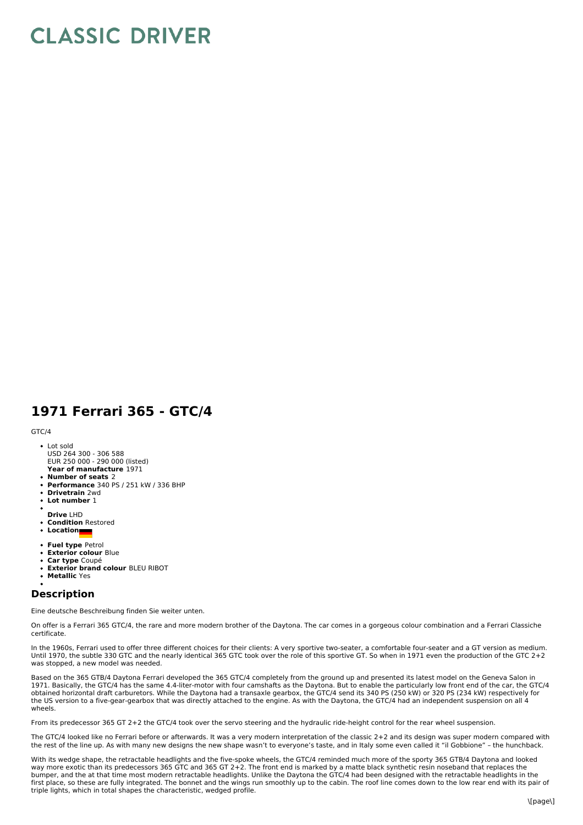## **CLASSIC DRIVER**

## **1971 Ferrari 365 - GTC/4**

## GTC/4

- **Year of manufacture** 1971 Lot sold USD 264 300 - 306 588 EUR 250 000 - 290 000 (listed)
- **Number of seats** 2
- **Performance** 340 PS / 251 kW / 336 BHP
- **Drivetrain** 2wd
- $\bullet$ **Lot number** 1
- **Drive** LHD
- **Condition** Restored
- **Location**
- 
- **Fuel type** Petrol **Exterior colour** Blue
- **Car type** Coupé
- **Exterior brand colour** BLEU RIBOT  $\bullet$
- **Metallic** Yes

## **Description**

Eine deutsche Beschreibung finden Sie weiter unten.

On offer is a Ferrari 365 GTC/4, the rare and more modern brother of the Daytona. The car comes in a gorgeous colour combination and a Ferrari Classiche certificate.

In the 1960s, Ferrari used to offer three different choices for their clients: A very sportive two-seater, a comfortable four-seater and a GT version as medium. Until 1970, the subtle 330 GTC and the nearly identical 365 GTC took over the role of this sportive GT. So when in 1971 even the production of the GTC 2+2 was stopped, a new model was needed.

Based on the 365 GTB/4 Daytona Ferrari developed the 365 GTC/4 completely from the ground up and presented its latest model on the Geneva Salon in<br>1971. Basically, the GTC/4 has the same 4.4-liter-motor with four camshafts obtained horizontal draft carburetors. While the Daytona had a transaxle gearbox, the GTC/4 send its 340 PS (250 kW) or 320 PS (234 kW) respectively for the US version to a five-gear-gearbox that was directly attached to the engine. As with the Daytona, the GTC/4 had an independent suspension on all 4 wheels.

From its predecessor 365 GT 2+2 the GTC/4 took over the servo steering and the hydraulic ride-height control for the rear wheel suspension.

The GTC/4 looked like no Ferrari before or afterwards. It was a very modern interpretation of the classic 2+2 and its design was super modern compared with the rest of the line up. As with many new designs the new shape wasn't to everyone's taste, and in Italy some even called it "il Gobbione" – the hunchback.

With its wedge shape, the retractable headlights and the five-spoke wheels, the GTC/4 reminded much more of the sporty 365 GTB/4 Daytona and looked way more exotic than its predecessors 365 GTC and 365 GT 2+2. The front end is marked by a matte black synthetic resin noseband that replaces the bumper, and the at that time most modern retractable headlights. Unlike the Daytona the GTC/4 had been designed with the retractable headlights in the first place, so these are fully integrated. The bonnet and the wings run smoothly up to the cabin. The roof line comes down to the low rear end with its pair of triple lights, which in total shapes the characteristic, wedged profile.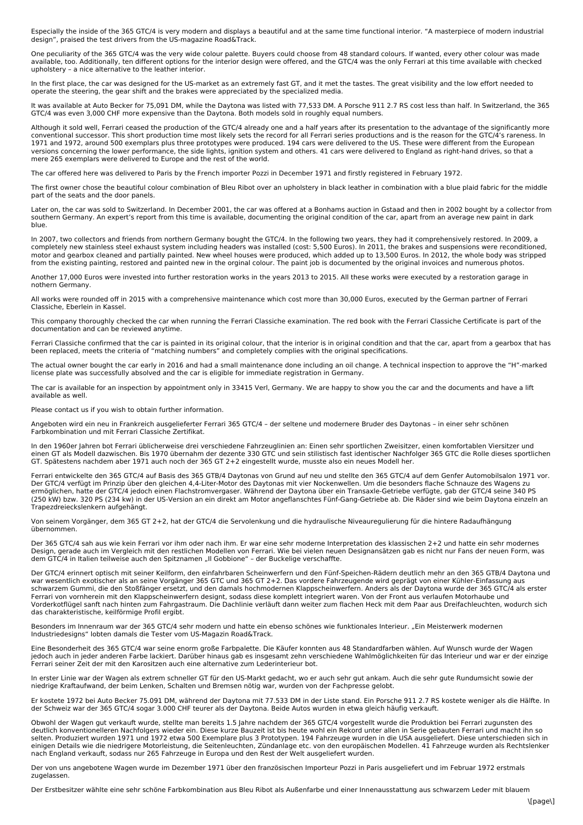Especially the inside of the 365 GTC/4 is very modern and displays a beautiful and at the same time functional interior. "A masterpiece of modern industrial design", praised the test drivers from the US-magazine Road&Track.

One peculiarity of the 365 GTC/4 was the very wide colour palette. Buyers could choose from 48 standard colours. If wanted, every other colour was made available, too. Additionally, ten different options for the interior design were offered, and the GTC/4 was the only Ferrari at this time available with checked upholstery – a nice alternative to the leather interior.

In the first place, the car was designed for the US-market as an extremely fast GT, and it met the tastes. The great visibility and the low effort needed to operate the steering, the gear shift and the brakes were appreciated by the specialized media.

It was available at Auto Becker for 75,091 DM, while the Daytona was listed with 77,533 DM. A Porsche 911 2.7 RS cost less than half. In Switzerland, the 365 GTC/4 was even 3,000 CHF more expensive than the Daytona. Both models sold in roughly equal numbers.

Although it sold well, Ferrari ceased the production of the GTC/4 already one and a half years after its presentation to the advantage of the significantly more conventional successor. This short production time most likely sets the record for all Ferrari series productions and is the reason for the GTC/4's rareness. In<br>1971 and 1972, around 500 exemplars plus three prototypes wer versions concerning the lower performance, the side lights, ignition system and others. 41 cars were delivered to England as right-hand drives, so that a mere 265 exemplars were delivered to Europe and the rest of the world.

The car offered here was delivered to Paris by the French importer Pozzi in December 1971 and firstly registered in February 1972.

The first owner chose the beautiful colour combination of Bleu Ribot over an upholstery in black leather in combination with a blue plaid fabric for the middle part of the seats and the door panels.

Later on, the car was sold to Switzerland. In December 2001, the car was offered at a Bonhams auction in Gstaad and then in 2002 bought by a collector from southern Germany. An expert's report from this time is available, documenting the original condition of the car, apart from an average new paint in dark blue.

In 2007, two collectors and friends from northern Germany bought the GTC/4. In the following two years, they had it comprehensively restored. In 2009, a completely new stainless steel exhaust system including headers was installed (cost: 5,500 Euros). In 2011, the brakes and suspensions were reconditioned,<br>motor and gearbox cleaned and partially painted. New wheel houses w from the existing painting, restored and painted new in the orginal colour. The paint job is documented by the original invoices and numerous photos.

Another 17,000 Euros were invested into further restoration works in the years 2013 to 2015. All these works were executed by a restoration garage in nothern Germany.

All works were rounded off in 2015 with a comprehensive maintenance which cost more than 30,000 Euros, executed by the German partner of Ferrari Classiche, Eberlein in Kassel.

This company thoroughly checked the car when running the Ferrari Classiche examination. The red book with the Ferrari Classiche Certificate is part of the documentation and can be reviewed anytime.

Ferrari Classiche confirmed that the car is painted in its original colour, that the interior is in original condition and that the car, apart from a gearbox that has<br>been replaced, meets the criteria of "matching numbers"

The actual owner bought the car early in 2016 and had a small maintenance done including an oil change. A technical inspection to approve the "H"-marked license plate was successfully absolved and the car is eligible for immediate registration in Germany.

The car is available for an inspection by appointment only in 33415 Verl, Germany. We are happy to show you the car and the documents and have a lift available as well.

Please contact us if you wish to obtain further information.

Angeboten wird ein neu in Frankreich ausgelieferter Ferrari 365 GTC/4 – der seltene und modernere Bruder des Daytonas – in einer sehr schönen Farbkombination und mit Ferrari Classiche Zertifikat.

In den 1960er Jahren bot Ferrari üblicherweise drei verschiedene Fahrzeuglinien an: Einen sehr sportlichen Zweisitzer, einen komfortablen Viersitzer und einen GT als Modell dazwischen. Bis 1970 übernahm der dezente 330 GTC und sein stilistisch fast identischer Nachfolger 365 GTC die Rolle dieses sportlichen GT. Spätestens nachdem aber 1971 auch noch der 365 GT 2+2 eingestellt wurde, musste also ein neues Modell her.

Ferrari entwickelte den 365 GTC/4 auf Basis des 365 GTB/4 Daytonas von Grund auf neu und stellte den 365 GTC/4 auf dem Genfer Automobilsalon 1971 vor. Der GTC/4 verfügt im Prinzip über den gleichen 4,4-Liter-Motor des Daytonas mit vier Nockenwellen. Um die besonders flache Schnauze des Wagens zu ermöglichen, hatte der GTC/4 jedoch einen Flachstromvergaser. Während der Daytona über ein Transaxle-Getriebe verfügte, gab der GTC/4 seine 340 PS (250 kW) bzw. 320 PS (234 kw) in der US-Version an ein direkt am Motor angeflanschtes Fünf-Gang-Getriebe ab. Die Räder sind wie beim Daytona einzeln an Trapezdreieckslenkern aufgehängt.

Von seinem Vorgänger, dem 365 GT 2+2, hat der GTC/4 die Servolenkung und die hydraulische Niveauregulierung für die hintere Radaufhängung übernommen.

Der 365 GTC/4 sah aus wie kein Ferrari vor ihm oder nach ihm. Er war eine sehr moderne Interpretation des klassischen 2+2 und hatte ein sehr modernes Design, gerade auch im Vergleich mit den restlichen Modellen von Ferrari. Wie bei vielen neuen Designansätzen gab es nicht nur Fans der neuen Form, was<br>dem GTC/4 in Italien teilweise auch den Spitznamen "Il Gobbione" – der

Der GTC/4 erinnert optisch mit seiner Keilform, den einfahrbaren Scheinwerfern und den Fünf-Speichen-Rädern deutlich mehr an den 365 GTB/4 Daytona und<br>war wesentlich exotischer als an seine Vorgänger 365 GTC und 365 GT 2+2 schwarzem Gummi, die den Stoßfänger ersetzt, und den damals hochmodernen Klappscheinwerfern. Anders als der Daytona wurde der 365 GTC/4 als erster Ferrari von vornherein mit den Klappscheinwerfern designt, sodass diese komplett integriert waren. Von der Front aus verlaufen Motorhaube und Vorderkotflügel sanft nach hinten zum Fahrgastraum. Die Dachlinie verläuft dann weiter zum flachen Heck mit dem Paar aus Dreifachleuchten, wodurch sich das charakteristische, keilförmige Profil ergibt.

Besonders im Innenraum war der 365 GTC/4 sehr modern und hatte ein ebenso schönes wie funktionales Interieur. "Ein Meisterwerk modernen Industriedesigns" lobten damals die Tester vom US-Magazin Road&Track.

Eine Besonderheit des 365 GTC/4 war seine enorm große Farbpalette. Die Käufer konnten aus 48 Standardfarben wählen. Auf Wunsch wurde der Wagen jedoch auch in jeder anderen Farbe lackiert. Darüber hinaus gab es insgesamt zehn verschiedene Wahlmöglichkeiten für das Interieur und war er der einzige Ferrari seiner Zeit der mit den Karositzen auch eine alternative zum Lederinterieur bot.

In erster Linie war der Wagen als extrem schneller GT für den US-Markt gedacht, wo er auch sehr gut ankam. Auch die sehr gute Rundumsicht sowie der niedrige Kraftaufwand, der beim Lenken, Schalten und Bremsen nötig war, wurden von der Fachpresse gelobt.

Er kostete 1972 bei Auto Becker 75.091 DM, während der Daytona mit 77.533 DM in der Liste stand. Ein Porsche 911 2.7 RS kostete weniger als die Hälfte. In<br>der Schweiz war der 365 GTC/4 sogar 3.000 CHF teurer als der Dayton

Obwohl der Wagen gut verkauft wurde, stellte man bereits 1.5 Jahre nachdem der 365 GTC/4 vorgestellt wurde die Produktion bei Ferrari zugunsten des deutlich konventionelleren Nachfolgers wieder ein. Diese kurze Bauzeit ist bis heute wohl ein Rekord unter allen in Serie gebauten Ferrari und macht ihn so<br>selten. Produziert wurden 1971 und 1972 etwa 500 Exemplare plus 3 einigen Details wie die niedrigere Motorleistung, die Seitenleuchten, Zündanlage etc. von den europäischen Modellen. 41 Fahrzeuge wurden als Rechtslenker<br>nach England verkauft, sodass nur 265 Fahrzeuge in Europa und den Re

Der von uns angebotene Wagen wurde im Dezember 1971 über den französischen Importeur Pozzi in Paris ausgeliefert und im Februar 1972 erstmals zugelassen.

Der Erstbesitzer wählte eine sehr schöne Farbkombination aus Bleu Ribot als Außenfarbe und einer Innenausstattung aus schwarzem Leder mit blauem